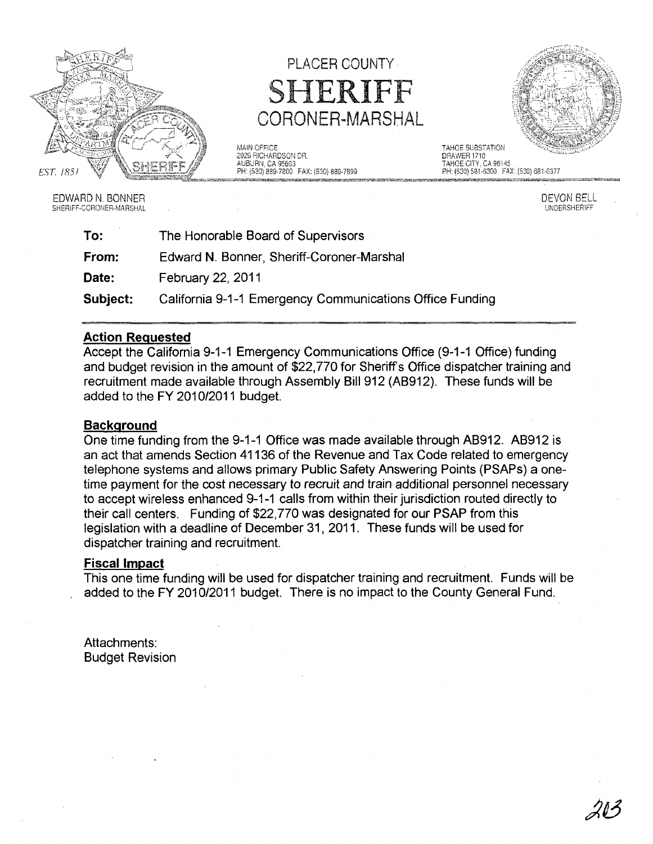

PLACER COUNTY SHERIFF CORONER-MARSHAL

MAIN OFFICE<br>1929 RICHARDSON DR. 1999 - TAHOE SUBSTATION DRAWER 1710 2929 RICHARDSON DR.<br>AUBURN, CA 95603



AUBURN, CA 95603<br>PH: (530) 889-7800 FAX: (530) 889-7899 TAHOE CITY. CA 96145<br>PH: (530) 581-6300 FAX: (530) 889-7899 TH: (530) 581-6300 FAX: (530) 681-6377

EDWARD N. BONNER DEVON BELL EINER DEVON BELL EINER DEVON BELL EINER DEVON BELL EINER DEVON BELL EINER DEVON BELL EINER DEVON BELL EINER DEVON BELL EINER DEVON BELL EINER DER DEVON BELL EINER DER DER DER DER DER DER DER DER SHERIFF-CORONER-MARSHAL

| To:      | The Honorable Board of Supervisors                       |  |  |  |  |  |  |  |  |
|----------|----------------------------------------------------------|--|--|--|--|--|--|--|--|
| From:    | Edward N. Bonner, Sheriff-Coroner-Marshal                |  |  |  |  |  |  |  |  |
| Date:    | February 22, 2011                                        |  |  |  |  |  |  |  |  |
| Subject: | California 9-1-1 Emergency Communications Office Funding |  |  |  |  |  |  |  |  |

## Action Requested

Accept the California 9-1-1 Emergency Communications Office (9-1-1 Office) funding and budget revision in the amount of \$22,770 for Sheriffs Office dispatcher training and recruitment made available through Assembly Bill 912 (AB912). These funds will be added to the FY 2010/2011 budget.

## **Background**

One time funding from the 9-1-1 Office was made available through AB912. AB912 is an act that amends Section 41136 of the Revenue and Tax Code related to emergency telephone systems and allows primary Public Safety Answering Points (PSAPs) a onetime payment for the cost necessary to recruit and train additional personnel necessary to accept wireless enhanced 9-1-1 calls from within their jurisdiction routed directly to their call centers. Funding of \$22,770 was designated for our PSAP from this legislation with a deadline of December 31,2011. These funds will be used for dispatcher training and recruitment.

## Fiscal Impact

This one time funding will be used for dispatcher training and recruitment. Funds will be added to the FY 2010/2011 budget. There is no impact to the County General Fund.

Attachments: Budget Revision